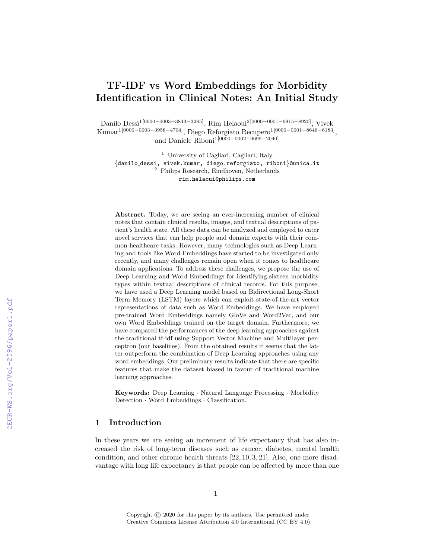# TF-IDF vs Word Embeddings for Morbidity Identification in Clinical Notes: An Initial Study

Danilo Dessì<sup>1</sup>[0000−0003−3843−3285], Rim Helaoui<sup>2</sup>[0000−0001−6915−8920], Vivek Kumar1[0000−0003−3958−4704], Diego Reforgiato Recupero1[0000−0001−8646−6183] , and Daniele Riboni1[0000−0002−0695−2040]

<sup>1</sup> University of Cagliari, Cagliari, Italy {danilo dessi, vivek.kumar, diego.reforgiato, riboni}@unica.it <sup>2</sup> Philips Research, Eindhoven, Netherlands rim.helaoui@philips.com

Abstract. Today, we are seeing an ever-increasing number of clinical notes that contain clinical results, images, and textual descriptions of patient's health state. All these data can be analyzed and employed to cater novel services that can help people and domain experts with their common healthcare tasks. However, many technologies such as Deep Learning and tools like Word Embeddings have started to be investigated only recently, and many challenges remain open when it comes to healthcare domain applications. To address these challenges, we propose the use of Deep Learning and Word Embeddings for identifying sixteen morbidity types within textual descriptions of clinical records. For this purpose, we have used a Deep Learning model based on Bidirectional Long-Short Term Memory (LSTM) layers which can exploit state-of-the-art vector representations of data such as Word Embeddings. We have employed pre-trained Word Embeddings namely GloVe and Word2Vec, and our own Word Embeddings trained on the target domain. Furthermore, we have compared the performances of the deep learning approaches against the traditional tf-idf using Support Vector Machine and Multilayer perceptron (our baselines). From the obtained results it seems that the latter outperform the combination of Deep Learning approaches using any word embeddings. Our preliminary results indicate that there are specific features that make the dataset biased in favour of traditional machine learning approaches.

Keywords: Deep Learning · Natural Language Processing · Morbidity Detection · Word Embeddings · Classification.

## 1 Introduction

In these years we are seeing an increment of life expectancy that has also increased the risk of long-term diseases such as cancer, diabetes, mental health condition, and other chronic health threats [22, 10, 3, 21]. Also, one more disadvantage with long life expectancy is that people can be affected by more than one

Copyright  $\odot$  2020 for this paper by its authors. Use permitted under Creative Commons License Attribution 4.0 International (CC BY 4.0).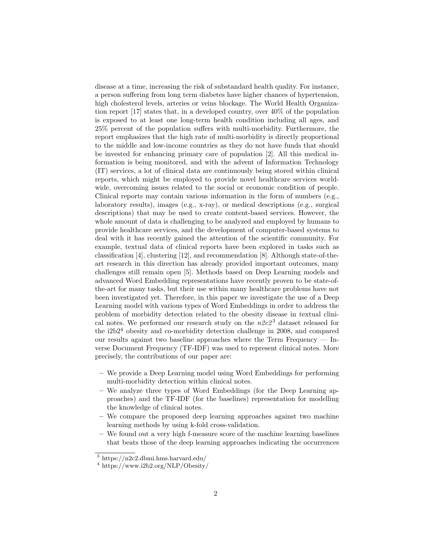disease at a time, increasing the risk of substandard health quality. For instance, a person suffering from long term diabetes have higher chances of hypertension, high cholesterol levels, arteries or veins blockage. The World Health Organization report [17] states that, in a developed country, over 40% of the population is exposed to at least one long-term health condition including all ages, and 25% percent of the population suffers with multi-morbidity. Furthermore, the report emphasizes that the high rate of multi-morbidity is directly proportional to the middle and low-income countries as they do not have funds that should be invested for enhancing primary care of population [2]. All this medical information is being monitored, and with the advent of Information Technology (IT) services, a lot of clinical data are continuously being stored within clinical reports, which might be employed to provide novel healthcare services worldwide, overcoming issues related to the social or economic condition of people. Clinical reports may contain various information in the form of numbers (e.g., laboratory results), images (e.g., x-ray), or medical descriptions (e.g., surgical descriptions) that may be used to create content-based services. However, the whole amount of data is challenging to be analyzed and employed by humans to provide healthcare services, and the development of computer-based systems to deal with it has recently gained the attention of the scientific community. For example, textual data of clinical reports have been explored in tasks such as classification [4], clustering [12], and recommendation [8]. Although state-of-theart research in this direction has already provided important outcomes, many challenges still remain open [5]. Methods based on Deep Learning models and advanced Word Embedding representations have recently proven to be state-ofthe-art for many tasks, but their use within many healthcare problems have not been investigated yet. Therefore, in this paper we investigate the use of a Deep Learning model with various types of Word Embeddings in order to address the problem of morbidity detection related to the obesity disease in textual clinical notes. We performed our research study on the  $n2c2<sup>3</sup>$  dataset released for the  $i2b2<sup>4</sup>$  obesity and co-morbidity detection challenge in 2008, and compared our results against two baseline approaches where the Term Frequency  $-$  Inverse Document Frequency (TF-IDF) was used to represent clinical notes. More precisely, the contributions of our paper are:

- We provide a Deep Learning model using Word Embeddings for performing multi-morbidity detection within clinical notes.
- We analyze three types of Word Embeddings (for the Deep Learning approaches) and the TF-IDF (for the baselines) representation for modelling the knowledge of clinical notes.
- We compare the proposed deep learning approaches against two machine learning methods by using k-fold cross-validation.
- We found out a very high f-measure score of the machine learning baselines that beats those of the deep learning approaches indicating the occurrences

<sup>3</sup> https://n2c2.dbmi.hms.harvard.edu/

<sup>4</sup> https://www.i2b2.org/NLP/Obesity/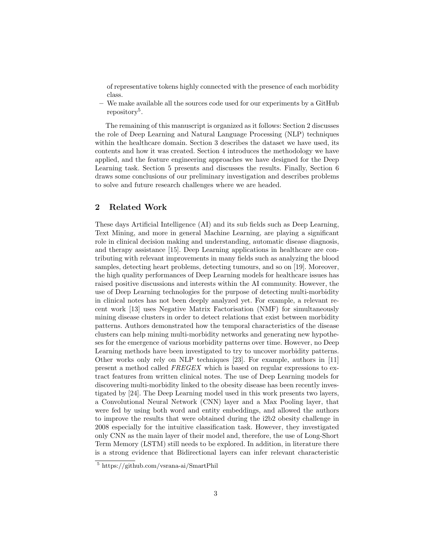of representative tokens highly connected with the presence of each morbidity class.

– We make available all the sources code used for our experiments by a GitHub repository<sup>5</sup>.

The remaining of this manuscript is organized as it follows: Section 2 discusses the role of Deep Learning and Natural Language Processing (NLP) techniques within the healthcare domain. Section 3 describes the dataset we have used, its contents and how it was created. Section 4 introduces the methodology we have applied, and the feature engineering approaches we have designed for the Deep Learning task. Section 5 presents and discusses the results. Finally, Section 6 draws some conclusions of our preliminary investigation and describes problems to solve and future research challenges where we are headed.

# 2 Related Work

These days Artificial Intelligence (AI) and its sub fields such as Deep Learning, Text Mining, and more in general Machine Learning, are playing a significant role in clinical decision making and understanding, automatic disease diagnosis, and therapy assistance [15]. Deep Learning applications in healthcare are contributing with relevant improvements in many fields such as analyzing the blood samples, detecting heart problems, detecting tumours, and so on [19]. Moreover, the high quality performances of Deep Learning models for healthcare issues has raised positive discussions and interests within the AI community. However, the use of Deep Learning technologies for the purpose of detecting multi-morbidity in clinical notes has not been deeply analyzed yet. For example, a relevant recent work [13] uses Negative Matrix Factorisation (NMF) for simultaneously mining disease clusters in order to detect relations that exist between morbidity patterns. Authors demonstrated how the temporal characteristics of the disease clusters can help mining multi-morbidity networks and generating new hypotheses for the emergence of various morbidity patterns over time. However, no Deep Learning methods have been investigated to try to uncover morbidity patterns. Other works only rely on NLP techniques [23]. For example, authors in [11] present a method called FREGEX which is based on regular expressions to extract features from written clinical notes. The use of Deep Learning models for discovering multi-morbidity linked to the obesity disease has been recently investigated by [24]. The Deep Learning model used in this work presents two layers, a Convolutional Neural Network (CNN) layer and a Max Pooling layer, that were fed by using both word and entity embeddings, and allowed the authors to improve the results that were obtained during the i2b2 obesity challenge in 2008 especially for the intuitive classification task. However, they investigated only CNN as the main layer of their model and, therefore, the use of Long-Short Term Memory (LSTM) still needs to be explored. In addition, in literature there is a strong evidence that Bidirectional layers can infer relevant characteristic

<sup>5</sup> https://github.com/vsrana-ai/SmartPhil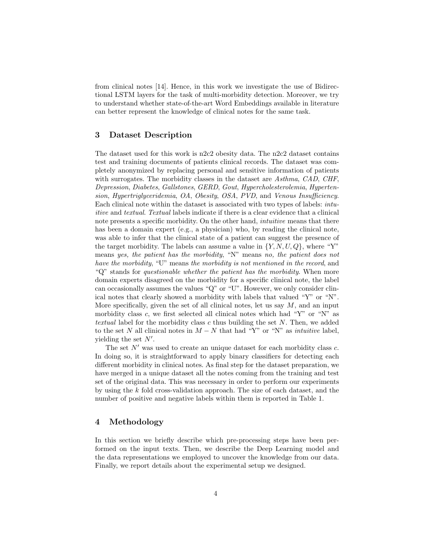from clinical notes [14]. Hence, in this work we investigate the use of Bidirectional LSTM layers for the task of multi-morbidity detection. Moreover, we try to understand whether state-of-the-art Word Embeddings available in literature can better represent the knowledge of clinical notes for the same task.

## 3 Dataset Description

The dataset used for this work is n2c2 obesity data. The n2c2 dataset contains test and training documents of patients clinical records. The dataset was completely anonymized by replacing personal and sensitive information of patients with surrogates. The morbidity classes in the dataset are Asthma, CAD, CHF, Depression, Diabetes, Gallstones, GERD, Gout, Hypercholesterolemia, Hypertension, Hypertriglyceridemia, OA, Obesity, OSA, PVD, and Venous Insufficiency. Each clinical note within the dataset is associated with two types of labels: intuitive and textual. Textual labels indicate if there is a clear evidence that a clinical note presents a specific morbidity. On the other hand, *intuitive* means that there has been a domain expert (e.g., a physician) who, by reading the clinical note, was able to infer that the clinical state of a patient can suggest the presence of the target morbidity. The labels can assume a value in  $\{Y, N, U, Q\}$ , where "Y" means yes, the patient has the morbidity, "N" means no, the patient does not have the morbidity, "U" means the morbidity is not mentioned in the record, and " $Q$ " stands for *questionable whether the patient has the morbidity*. When more domain experts disagreed on the morbidity for a specific clinical note, the label can occasionally assumes the values "Q" or "U". However, we only consider clinical notes that clearly showed a morbidity with labels that valued "Y" or "N". More specifically, given the set of all clinical notes, let us say  $M$ , and an input morbidity class c, we first selected all clinical notes which had "Y" or "N" as textual label for the morbidity class  $c$  thus building the set  $N$ . Then, we added to the set N all clinical notes in  $M - N$  that had "Y" or "N" as *intuitive* label, yielding the set  $N'$ .

The set  $N'$  was used to create an unique dataset for each morbidity class c. In doing so, it is straightforward to apply binary classifiers for detecting each different morbidity in clinical notes. As final step for the dataset preparation, we have merged in a unique dataset all the notes coming from the training and test set of the original data. This was necessary in order to perform our experiments by using the k fold cross-validation approach. The size of each dataset, and the number of positive and negative labels within them is reported in Table 1.

## 4 Methodology

In this section we briefly describe which pre-processing steps have been performed on the input texts. Then, we describe the Deep Learning model and the data representations we employed to uncover the knowledge from our data. Finally, we report details about the experimental setup we designed.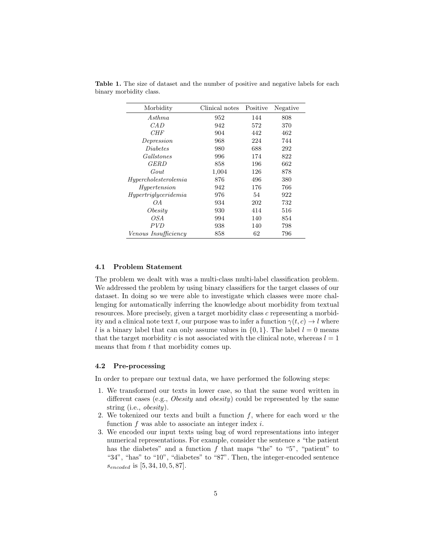| Morbidity                   | Clinical notes | Positive | Negative |
|-----------------------------|----------------|----------|----------|
| $A$ sthma                   | 952            | 144      | 808      |
| CA D                        | 572<br>942     |          | 370      |
| CHF                         | 904            | 442      | 462      |
| Depression                  | 968            | 224      | 744      |
| <i>Diabetes</i>             | 980            | 688      | 292      |
| Gallstones                  | 996            | 174      | 822      |
| GERD                        | 858            | 196      | 662      |
| Gout                        | 1,004          | 126      | 878      |
| Hypercholesterolemia        | 876            | 496      | 380      |
| Hypertension                | 942            | 176      | 766      |
| Hypertrialy ceridemia       | 976            | 54       | 922      |
| OΑ                          | 934            | 202      | 732      |
| Obesitu                     | 930            | 414      | 516      |
| OSA                         | 994            | 140      | 854      |
| <i>PVD</i>                  | 938            | 140      | 798      |
| <i>Venous Insufficiency</i> | 858            | 62       | 796      |

Table 1. The size of dataset and the number of positive and negative labels for each binary morbidity class.

#### 4.1 Problem Statement

The problem we dealt with was a multi-class multi-label classification problem. We addressed the problem by using binary classifiers for the target classes of our dataset. In doing so we were able to investigate which classes were more challenging for automatically inferring the knowledge about morbidity from textual resources. More precisely, given a target morbidity class c representing a morbidity and a clinical note text t, our purpose was to infer a function  $\gamma(t, c) \rightarrow l$  where l is a binary label that can only assume values in  $\{0, 1\}$ . The label  $l = 0$  means that the target morbidity c is not associated with the clinical note, whereas  $l = 1$ means that from t that morbidity comes up.

## 4.2 Pre-processing

In order to prepare our textual data, we have performed the following steps:

- 1. We transformed our texts in lower case, so that the same word written in different cases (e.g., *Obesity* and *obesity*) could be represented by the same string (i.e., obesity).
- 2. We tokenized our texts and built a function  $f$ , where for each word  $w$  the function  $f$  was able to associate an integer index  $i$ .
- 3. We encoded our input texts using bag of word representations into integer numerical representations. For example, consider the sentence s "the patient has the diabetes" and a function  $f$  that maps "the" to "5", "patient" to "34", "has" to "10", "diabetes" to "87". Then, the integer-encoded sentence  $s_{encoded}$  is [5, 34, 10, 5, 87].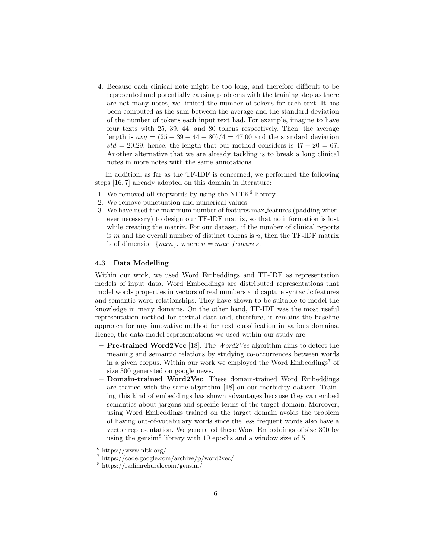4. Because each clinical note might be too long, and therefore difficult to be represented and potentially causing problems with the training step as there are not many notes, we limited the number of tokens for each text. It has been computed as the sum between the average and the standard deviation of the number of tokens each input text had. For example, imagine to have four texts with 25, 39, 44, and 80 tokens respectively. Then, the average length is  $avg = (25 + 39 + 44 + 80)/4 = 47.00$  and the standard deviation  $std = 20.29$ , hence, the length that our method considers is  $47 + 20 = 67$ . Another alternative that we are already tackling is to break a long clinical notes in more notes with the same annotations.

In addition, as far as the TF-IDF is concerned, we performed the following steps [16, 7] already adopted on this domain in literature:

- 1. We removed all stopwords by using the  $NLTK^6$  library.
- 2. We remove punctuation and numerical values.
- 3. We have used the maximum number of features max features (padding wherever necessary) to design our TF-IDF matrix, so that no information is lost while creating the matrix. For our dataset, if the number of clinical reports is  $m$  and the overall number of distinct tokens is  $n$ , then the TF-IDF matrix is of dimension  $\{mxn\}$ , where  $n = max_f eatures$ .

## 4.3 Data Modelling

Within our work, we used Word Embeddings and TF-IDF as representation models of input data. Word Embeddings are distributed representations that model words properties in vectors of real numbers and capture syntactic features and semantic word relationships. They have shown to be suitable to model the knowledge in many domains. On the other hand, TF-IDF was the most useful representation method for textual data and, therefore, it remains the baseline approach for any innovative method for text classification in various domains. Hence, the data model representations we used within our study are:

- $-$  Pre-trained Word2Vec [18]. The Word2Vec algorithm aims to detect the meaning and semantic relations by studying co-occurrences between words in a given corpus. Within our work we employed the Word  $\rm{Embeddings}^7$  of size 300 generated on google news.
- Domain-trained Word2Vec. These domain-trained Word Embeddings are trained with the same algorithm [18] on our morbidity dataset. Training this kind of embeddings has shown advantages because they can embed semantics about jargons and specific terms of the target domain. Moreover, using Word Embeddings trained on the target domain avoids the problem of having out-of-vocabulary words since the less frequent words also have a vector representation. We generated these Word Embeddings of size 300 by using the gensim<sup>8</sup> library with 10 epochs and a window size of 5.

 $6 \text{ https://www.nltk.org/}$ 

<sup>7</sup> https://code.google.com/archive/p/word2vec/

<sup>8</sup> https://radimrehurek.com/gensim/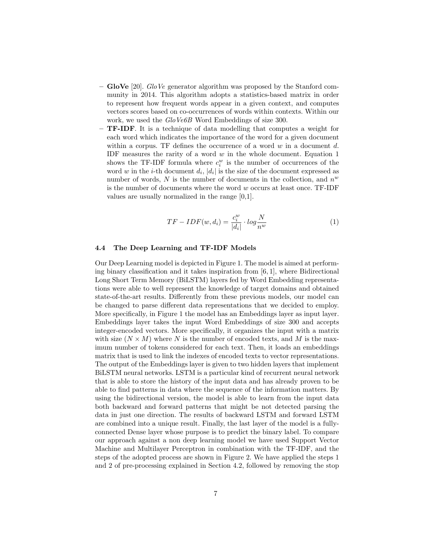- GloVe [20]. GloVe generator algorithm was proposed by the Stanford community in 2014. This algorithm adopts a statistics-based matrix in order to represent how frequent words appear in a given context, and computes vectors scores based on co-occurrences of words within contexts. Within our work, we used the GloVe6B Word Embeddings of size 300.
- TF-IDF. It is a technique of data modelling that computes a weight for each word which indicates the importance of the word for a given document within a corpus. TF defines the occurrence of a word  $w$  in a document  $d$ . IDF measures the rarity of a word  $w$  in the whole document. Equation 1 shows the TF-IDF formula where  $c_i^w$  is the number of occurrences of the word w in the *i*-th document  $d_i$ ,  $|d_i|$  is the size of the document expressed as number of words,  $N$  is the number of documents in the collection, and  $n^w$ is the number of documents where the word w occurs at least once. TF-IDF values are usually normalized in the range [0,1].

$$
TF - IDF(w, d_i) = \frac{c_i^w}{|d_i|} \cdot \log \frac{N}{n^w}
$$
\n<sup>(1)</sup>

## 4.4 The Deep Learning and TF-IDF Models

Our Deep Learning model is depicted in Figure 1. The model is aimed at performing binary classification and it takes inspiration from  $[6, 1]$ , where Bidirectional Long Short Term Memory (BiLSTM) layers fed by Word Embedding representations were able to well represent the knowledge of target domains and obtained state-of-the-art results. Differently from these previous models, our model can be changed to parse different data representations that we decided to employ. More specifically, in Figure 1 the model has an Embeddings layer as input layer. Embeddings layer takes the input Word Embeddings of size 300 and accepts integer-encoded vectors. More specifically, it organizes the input with a matrix with size  $(N \times M)$  where N is the number of encoded texts, and M is the maximum number of tokens considered for each text. Then, it loads an embeddings matrix that is used to link the indexes of encoded texts to vector representations. The output of the Embeddings layer is given to two hidden layers that implement BiLSTM neural networks. LSTM is a particular kind of recurrent neural network that is able to store the history of the input data and has already proven to be able to find patterns in data where the sequence of the information matters. By using the bidirectional version, the model is able to learn from the input data both backward and forward patterns that might be not detected parsing the data in just one direction. The results of backward LSTM and forward LSTM are combined into a unique result. Finally, the last layer of the model is a fullyconnected Dense layer whose purpose is to predict the binary label. To compare our approach against a non deep learning model we have used Support Vector Machine and Multilayer Perceptron in combination with the TF-IDF, and the steps of the adopted process are shown in Figure 2. We have applied the steps 1 and 2 of pre-processing explained in Section 4.2, followed by removing the stop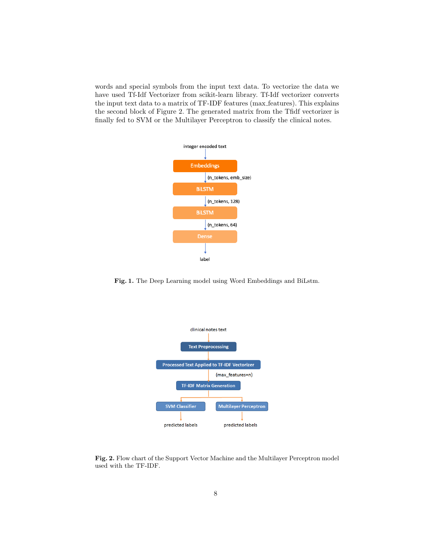words and special symbols from the input text data. To vectorize the data we have used Tf-Idf Vectorizer from scikit-learn library. Tf-Idf vectorizer converts the input text data to a matrix of TF-IDF features (max features). This explains the second block of Figure 2. The generated matrix from the Tfidf vectorizer is finally fed to SVM or the Multilayer Perceptron to classify the clinical notes.



Fig. 1. The Deep Learning model using Word Embeddings and BiLstm.



Fig. 2. Flow chart of the Support Vector Machine and the Multilayer Perceptron model used with the TF-IDF.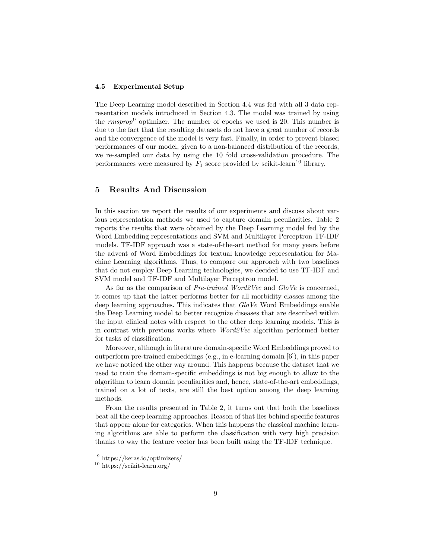#### 4.5 Experimental Setup

The Deep Learning model described in Section 4.4 was fed with all 3 data representation models introduced in Section 4.3. The model was trained by using the  $rmsprop<sup>9</sup>$  optimizer. The number of epochs we used is 20. This number is due to the fact that the resulting datasets do not have a great number of records and the convergence of the model is very fast. Finally, in order to prevent biased performances of our model, given to a non-balanced distribution of the records, we re-sampled our data by using the 10 fold cross-validation procedure. The performances were measured by  $F_1$  score provided by scikit-learn<sup>10</sup> library.

# 5 Results And Discussion

In this section we report the results of our experiments and discuss about various representation methods we used to capture domain peculiarities. Table 2 reports the results that were obtained by the Deep Learning model fed by the Word Embedding representations and SVM and Multilayer Perceptron TF-IDF models. TF-IDF approach was a state-of-the-art method for many years before the advent of Word Embeddings for textual knowledge representation for Machine Learning algorithms. Thus, to compare our approach with two baselines that do not employ Deep Learning technologies, we decided to use TF-IDF and SVM model and TF-IDF and Multilayer Perceptron model.

As far as the comparison of Pre-trained Word2Vec and GloVe is concerned, it comes up that the latter performs better for all morbidity classes among the deep learning approaches. This indicates that GloVe Word Embeddings enable the Deep Learning model to better recognize diseases that are described within the input clinical notes with respect to the other deep learning models. This is in contrast with previous works where Word2Vec algorithm performed better for tasks of classification.

Moreover, although in literature domain-specific Word Embeddings proved to outperform pre-trained embeddings (e.g., in e-learning domain [6]), in this paper we have noticed the other way around. This happens because the dataset that we used to train the domain-specific embeddings is not big enough to allow to the algorithm to learn domain peculiarities and, hence, state-of-the-art embeddings, trained on a lot of texts, are still the best option among the deep learning methods.

From the results presented in Table 2, it turns out that both the baselines beat all the deep learning approaches. Reason of that lies behind specific features that appear alone for categories. When this happens the classical machine learning algorithms are able to perform the classification with very high precision thanks to way the feature vector has been built using the TF-IDF technique.

<sup>9</sup> https://keras.io/optimizers/

<sup>10</sup> https://scikit-learn.org/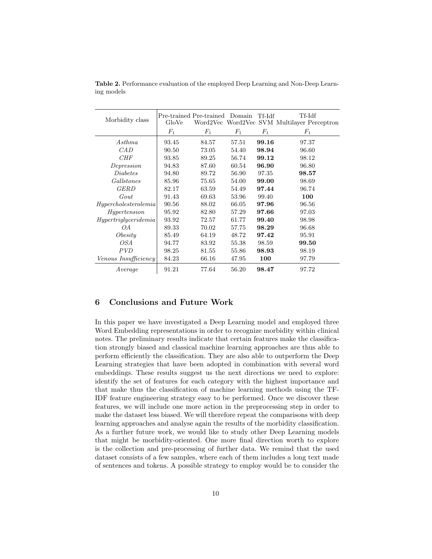|                      |       | Pre-trained Pre-trained | Domain | Tf-Idf | Tf-Idf                                      |
|----------------------|-------|-------------------------|--------|--------|---------------------------------------------|
| Morbidity class      | GloVe |                         |        |        | Word2Vec Word2Vec SVM Multilayer Perceptron |
|                      | $F_1$ | $F_1$                   | $F_1$  | $F_1$  | $F_1$                                       |
| Asthma               | 93.45 | 84.57                   | 57.51  | 99.16  | 97.37                                       |
| CAD                  | 90.50 | 73.05                   | 54.40  | 98.94  | 96.60                                       |
| CHF                  | 93.85 | 89.25                   | 56.74  | 99.12  | 98.12                                       |
| Depression           | 94.83 | 87.60                   | 60.54  | 96.90  | 96.80                                       |
| Diabetes             | 94.80 | 89.72                   | 56.90  | 97.35  | 98.57                                       |
| Gallstones           | 85.96 | 75.65                   | 54.00  | 99.00  | 98.69                                       |
| <b>GERD</b>          | 82.17 | 63.59                   | 54.49  | 97.44  | 96.74                                       |
| Gout                 | 91.43 | 69.63                   | 53.96  | 99.40  | 100                                         |
| Hypercholesterolemia | 90.56 | 88.02                   | 66.05  | 97.96  | 96.56                                       |
| Hypertension         | 95.92 | 82.80                   | 57.29  | 97.66  | 97.03                                       |
| Hypertriglyceridemia | 93.92 | 72.57                   | 61.77  | 99.40  | 98.98                                       |
| OΑ                   | 89.33 | 70.02                   | 57.75  | 98.29  | 96.68                                       |
| Obesity              | 85.49 | 64.19                   | 48.72  | 97.42  | 95.91                                       |
| OSA                  | 94.77 | 83.92                   | 55.38  | 98.59  | 99.50                                       |
| <i>PVD</i>           | 98.25 | 81.55                   | 55.86  | 98.93  | 98.19                                       |
| Venous Insufficiency | 84.23 | 66.16                   | 47.95  | 100    | 97.79                                       |
| Average              | 91.21 | 77.64                   | 56.20  | 98.47  | 97.72                                       |

Table 2. Performance evaluation of the employed Deep Learning and Non-Deep Learning models

# 6 Conclusions and Future Work

In this paper we have investigated a Deep Learning model and employed three Word Embedding representations in order to recognize morbidity within clinical notes. The preliminary results indicate that certain features make the classification strongly biased and classical machine learning approaches are thus able to perform efficiently the classification. They are also able to outperform the Deep Learning strategies that have been adopted in combination with several word embeddings. These results suggest us the next directions we need to explore: identify the set of features for each category with the highest importance and that make thus the classification of machine learning methods using the TF-IDF feature engineering strategy easy to be performed. Once we discover these features, we will include one more action in the preprocessing step in order to make the dataset less biased. We will therefore repeat the comparisons with deep learning approaches and analyse again the results of the morbidity classification. As a further future work, we would like to study other Deep Learning models that might be morbidity-oriented. One more final direction worth to explore is the collection and pre-processing of further data. We remind that the used dataset consists of a few samples, where each of them includes a long text made of sentences and tokens. A possible strategy to employ would be to consider the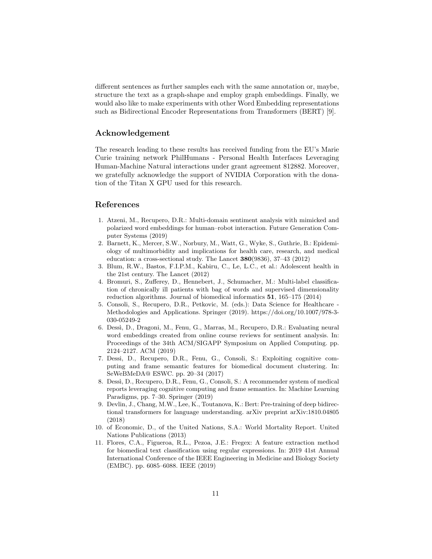different sentences as further samples each with the same annotation or, maybe, structure the text as a graph-shape and employ graph embeddings. Finally, we would also like to make experiments with other Word Embedding representations such as Bidirectional Encoder Representations from Transformers (BERT) [9].

## Acknowledgement

The research leading to these results has received funding from the EU's Marie Curie training network PhilHumans - Personal Health Interfaces Leveraging Human-Machine Natural interactions under grant agreement 812882. Moreover, we gratefully acknowledge the support of NVIDIA Corporation with the donation of the Titan X GPU used for this research.

## References

- 1. Atzeni, M., Recupero, D.R.: Multi-domain sentiment analysis with mimicked and polarized word embeddings for human–robot interaction. Future Generation Computer Systems (2019)
- 2. Barnett, K., Mercer, S.W., Norbury, M., Watt, G., Wyke, S., Guthrie, B.: Epidemiology of multimorbidity and implications for health care, research, and medical education: a cross-sectional study. The Lancet 380(9836), 37–43 (2012)
- 3. Blum, R.W., Bastos, F.I.P.M., Kabiru, C., Le, L.C., et al.: Adolescent health in the 21st century. The Lancet (2012)
- 4. Bromuri, S., Zufferey, D., Hennebert, J., Schumacher, M.: Multi-label classification of chronically ill patients with bag of words and supervised dimensionality reduction algorithms. Journal of biomedical informatics 51, 165–175 (2014)
- 5. Consoli, S., Recupero, D.R., Petkovic, M. (eds.): Data Science for Healthcare Methodologies and Applications. Springer (2019). https://doi.org/10.1007/978-3- 030-05249-2
- 6. Dess`ı, D., Dragoni, M., Fenu, G., Marras, M., Recupero, D.R.: Evaluating neural word embeddings created from online course reviews for sentiment analysis. In: Proceedings of the 34th ACM/SIGAPP Symposium on Applied Computing. pp. 2124–2127. ACM (2019)
- 7. Dessi, D., Recupero, D.R., Fenu, G., Consoli, S.: Exploiting cognitive computing and frame semantic features for biomedical document clustering. In: SeWeBMeDA@ ESWC. pp. 20–34 (2017)
- 8. Dessì, D., Recupero, D.R., Fenu, G., Consoli, S.: A recommender system of medical reports leveraging cognitive computing and frame semantics. In: Machine Learning Paradigms, pp. 7–30. Springer (2019)
- 9. Devlin, J., Chang, M.W., Lee, K., Toutanova, K.: Bert: Pre-training of deep bidirectional transformers for language understanding. arXiv preprint arXiv:1810.04805 (2018)
- 10. of Economic, D., of the United Nations, S.A.: World Mortality Report. United Nations Publications (2013)
- 11. Flores, C.A., Figueroa, R.L., Pezoa, J.E.: Fregex: A feature extraction method for biomedical text classification using regular expressions. In: 2019 41st Annual International Conference of the IEEE Engineering in Medicine and Biology Society (EMBC). pp. 6085–6088. IEEE (2019)